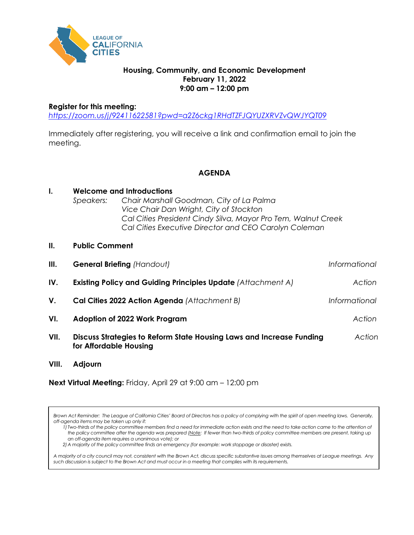

## **Housing, Community, and Economic Development February 11, 2022 9:00 am – 12:00 pm**

#### **Register for this meeting:**

. . . . . .

*<https://zoom.us/j/92411622581?pwd=a2Z6ckg1RHdTZFJQYUZXRVZvQWJYQT09>*

Immediately after registering, you will receive a link and confirmation email to join the meeting.

**AGENDA**

| I.   | Speakers:                                                           | <b>Welcome and Introductions</b><br>Chair Marshall Goodman, City of La Palma<br>Vice Chair Dan Wright, City of Stockton<br>Cal Cities President Cindy Silva, Mayor Pro Tem, Walnut Creek<br>Cal Cities Executive Director and CEO Carolyn Coleman |               |
|------|---------------------------------------------------------------------|---------------------------------------------------------------------------------------------------------------------------------------------------------------------------------------------------------------------------------------------------|---------------|
| II.  | <b>Public Comment</b>                                               |                                                                                                                                                                                                                                                   |               |
| III. | <b>General Briefing (Handout)</b>                                   |                                                                                                                                                                                                                                                   | Informational |
| IV.  | <b>Existing Policy and Guiding Principles Update (Attachment A)</b> |                                                                                                                                                                                                                                                   | Action        |
| V.   | Cal Cities 2022 Action Agenda (Attachment B)                        |                                                                                                                                                                                                                                                   | Informational |
| VI.  | Adoption of 2022 Work Program                                       |                                                                                                                                                                                                                                                   | Action        |
| VII. | for Affordable Housing                                              | Discuss Strategies to Reform State Housing Laws and Increase Funding                                                                                                                                                                              | Action        |

**VIII. Adjourn**

**Next Virtual Meeting:** Friday, April 29 at 9:00 am – 12:00 pm

*Brown Act Reminder: The League of California Cities' Board of Directors has a policy of complying with the spirit of open meeting laws. Generally, off-agenda items may be taken up only if:*

*1) Two-thirds of the policy committee members find a need for immediate action exists and the need to take action came to the attention of the policy committee after the agenda was prepared (Note: If fewer than two-thirds of policy committee members are present, taking up an off-agenda item requires a unanimous vote); or*

*2)A majority of the policy committee finds an emergency (for example: work stoppage or disaster) exists.* 

*A majority of a city council may not, consistent with the Brown Act, discuss specific substantive issues among themselves at League meetings. Any such discussion is subject to the Brown Act and must occur in a meeting that complies with its requirements.*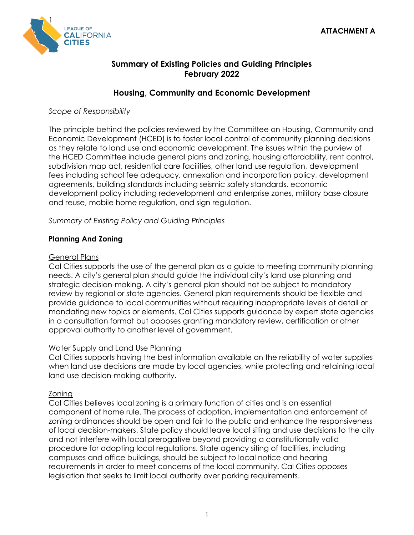

# **Summary of Existing Policies and Guiding Principles February 2022**

# **Housing, Community and Economic Development**

*Scope of Responsibility*

The principle behind the policies reviewed by the Committee on Housing, Community and Economic Development (HCED) is to foster local control of community planning decisions as they relate to land use and economic development. The issues within the purview of the HCED Committee include general plans and zoning, housing affordability, rent control, subdivision map act, residential care facilities, other land use regulation, development fees including school fee adequacy, annexation and incorporation policy, development agreements, building standards including seismic safety standards, economic development policy including redevelopment and enterprise zones, military base closure and reuse, mobile home regulation, and sign regulation.

*Summary of Existing Policy and Guiding Principles*

# **Planning And Zoning**

## General Plans

Cal Cities supports the use of the general plan as a guide to meeting community planning needs. A city's general plan should guide the individual city's land use planning and strategic decision-making. A city's general plan should not be subject to mandatory review by regional or state agencies. General plan requirements should be flexible and provide guidance to local communities without requiring inappropriate levels of detail or mandating new topics or elements. Cal Cities supports guidance by expert state agencies in a consultation format but opposes granting mandatory review, certification or other approval authority to another level of government.

# Water Supply and Land Use Planning

Cal Cities supports having the best information available on the reliability of water supplies when land use decisions are made by local agencies, while protecting and retaining local land use decision-making authority.

# Zoning

Cal Cities believes local zoning is a primary function of cities and is an essential component of home rule. The process of adoption, implementation and enforcement of zoning ordinances should be open and fair to the public and enhance the responsiveness of local decision-makers. State policy should leave local siting and use decisions to the city and not interfere with local prerogative beyond providing a constitutionally valid procedure for adopting local regulations. State agency siting of facilities, including campuses and office buildings, should be subject to local notice and hearing requirements in order to meet concerns of the local community. Cal Cities opposes legislation that seeks to limit local authority over parking requirements.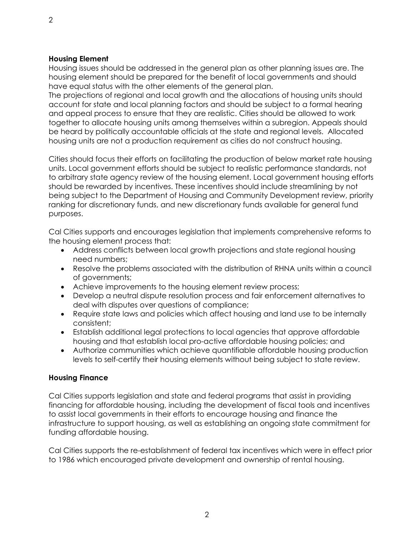#### **Housing Element**

Housing issues should be addressed in the general plan as other planning issues are. The housing element should be prepared for the benefit of local governments and should have equal status with the other elements of the general plan.

The projections of regional and local growth and the allocations of housing units should account for state and local planning factors and should be subject to a formal hearing and appeal process to ensure that they are realistic. Cities should be allowed to work together to allocate housing units among themselves within a subregion. Appeals should be heard by politically accountable officials at the state and regional levels. Allocated housing units are not a production requirement as cities do not construct housing.

Cities should focus their efforts on facilitating the production of below market rate housing units. Local government efforts should be subject to realistic performance standards, not to arbitrary state agency review of the housing element. Local government housing efforts should be rewarded by incentives. These incentives should include streamlining by not being subject to the Department of Housing and Community Development review, priority ranking for discretionary funds, and new discretionary funds available for general fund purposes.

Cal Cities supports and encourages legislation that implements comprehensive reforms to the housing element process that:

- Address conflicts between local growth projections and state regional housing need numbers;
- Resolve the problems associated with the distribution of RHNA units within a council of governments;
- Achieve improvements to the housing element review process;
- Develop a neutral dispute resolution process and fair enforcement alternatives to deal with disputes over questions of compliance;
- Require state laws and policies which affect housing and land use to be internally consistent;
- Establish additional legal protections to local agencies that approve affordable housing and that establish local pro-active affordable housing policies; and
- Authorize communities which achieve quantifiable affordable housing production levels to self-certify their housing elements without being subject to state review.

# **Housing Finance**

Cal Cities supports legislation and state and federal programs that assist in providing financing for affordable housing, including the development of fiscal tools and incentives to assist local governments in their efforts to encourage housing and finance the infrastructure to support housing, as well as establishing an ongoing state commitment for funding affordable housing.

Cal Cities supports the re-establishment of federal tax incentives which were in effect prior to 1986 which encouraged private development and ownership of rental housing.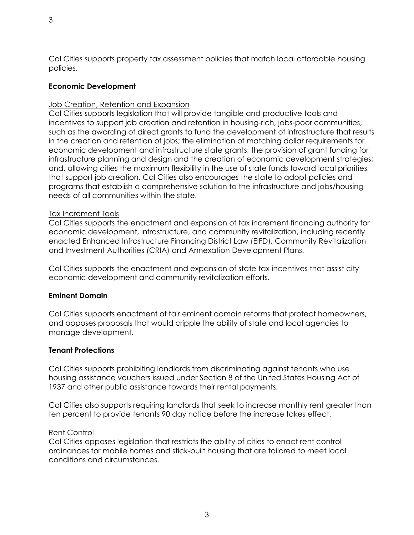# **Economic Development**

# Job Creation, Retention and Expansion

Cal Cities supports legislation that will provide tangible and productive tools and incentives to support job creation and retention in housing-rich, jobs-poor communities, such as the awarding of direct grants to fund the development of infrastructure that results in the creation and retention of jobs; the elimination of matching dollar requirements for economic development and infrastructure state grants; the provision of grant funding for infrastructure planning and design and the creation of economic development strategies; and, allowing cities the maximum flexibility in the use of state funds toward local priorities that support job creation. Cal Cities also encourages the state to adopt policies and programs that establish a comprehensive solution to the infrastructure and jobs/housing needs of all communities within the state.

# Tax Increment Tools

Cal Cities supports the enactment and expansion of tax increment financing authority for economic development, infrastructure, and community revitalization, including recently enacted Enhanced Infrastructure Financing District Law (EIFD), Community Revitalization and Investment Authorities (CRIA) and Annexation Development Plans.

Cal Cities supports the enactment and expansion of state tax incentives that assist city economic development and community revitalization efforts.

# **Eminent Domain**

Cal Cities supports enactment of fair eminent domain reforms that protect homeowners, and opposes proposals that would cripple the ability of state and local agencies to manage development.

# **Tenant Protections**

Cal Cities supports prohibiting landlords from discriminating against tenants who use housing assistance vouchers issued under Section 8 of the United States Housing Act of 1937 and other public assistance towards their rental payments.

Cal Cities also supports requiring landlords that seek to increase monthly rent greater than ten percent to provide tenants 90 day notice before the increase takes effect.

# Rent Control

Cal Cities opposes legislation that restricts the ability of cities to enact rent control ordinances for mobile homes and stick-built housing that are tailored to meet local conditions and circumstances.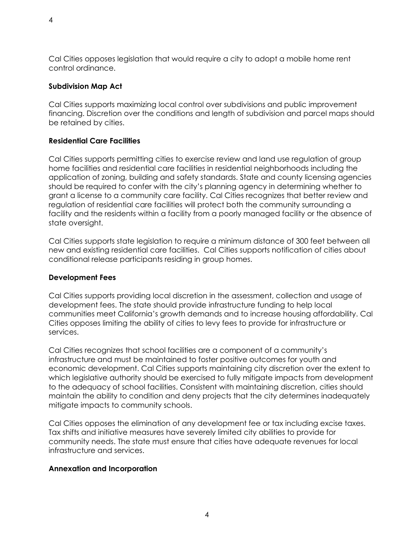# **Subdivision Map Act**

control ordinance.

Cal Cities supports maximizing local control over subdivisions and public improvement financing. Discretion over the conditions and length of subdivision and parcel maps should be retained by cities.

# **Residential Care Facilities**

Cal Cities supports permitting cities to exercise review and land use regulation of group home facilities and residential care facilities in residential neighborhoods including the application of zoning, building and safety standards. State and county licensing agencies should be required to confer with the city's planning agency in determining whether to grant a license to a community care facility. Cal Cities recognizes that better review and regulation of residential care facilities will protect both the community surrounding a facility and the residents within a facility from a poorly managed facility or the absence of state oversight.

Cal Cities supports state legislation to require a minimum distance of 300 feet between all new and existing residential care facilities. Cal Cities supports notification of cities about conditional release participants residing in group homes.

# **Development Fees**

Cal Cities supports providing local discretion in the assessment, collection and usage of development fees. The state should provide infrastructure funding to help local communities meet California's growth demands and to increase housing affordability. Cal Cities opposes limiting the ability of cities to levy fees to provide for infrastructure or services.

Cal Cities recognizes that school facilities are a component of a community's infrastructure and must be maintained to foster positive outcomes for youth and economic development. Cal Cities supports maintaining city discretion over the extent to which legislative authority should be exercised to fully mitigate impacts from development to the adequacy of school facilities. Consistent with maintaining discretion, cities should maintain the ability to condition and deny projects that the city determines inadequately mitigate impacts to community schools.

Cal Cities opposes the elimination of any development fee or tax including excise taxes. Tax shifts and initiative measures have severely limited city abilities to provide for community needs. The state must ensure that cities have adequate revenues for local infrastructure and services.

# **Annexation and Incorporation**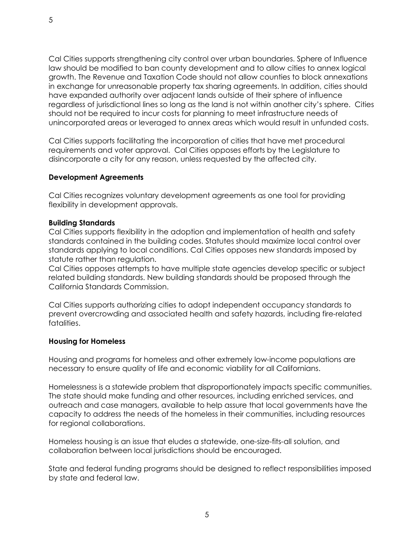Cal Cities supports strengthening city control over urban boundaries. Sphere of Influence law should be modified to ban county development and to allow cities to annex logical growth. The Revenue and Taxation Code should not allow counties to block annexations in exchange for unreasonable property tax sharing agreements. In addition, cities should have expanded authority over adjacent lands outside of their sphere of influence regardless of jurisdictional lines so long as the land is not within another city's sphere. Cities should not be required to incur costs for planning to meet infrastructure needs of unincorporated areas or leveraged to annex areas which would result in unfunded costs.

Cal Cities supports facilitating the incorporation of cities that have met procedural requirements and voter approval. Cal Cities opposes efforts by the Legislature to disincorporate a city for any reason, unless requested by the affected city.

## **Development Agreements**

Cal Cities recognizes voluntary development agreements as one tool for providing flexibility in development approvals.

#### **Building Standards**

Cal Cities supports flexibility in the adoption and implementation of health and safety standards contained in the building codes. Statutes should maximize local control over standards applying to local conditions. Cal Cities opposes new standards imposed by statute rather than regulation.

Cal Cities opposes attempts to have multiple state agencies develop specific or subject related building standards. New building standards should be proposed through the California Standards Commission.

Cal Cities supports authorizing cities to adopt independent occupancy standards to prevent overcrowding and associated health and safety hazards, including fire-related fatalities.

#### **Housing for Homeless**

Housing and programs for homeless and other extremely low-income populations are necessary to ensure quality of life and economic viability for all Californians.

Homelessness is a statewide problem that disproportionately impacts specific communities. The state should make funding and other resources, including enriched services, and outreach and case managers, available to help assure that local governments have the capacity to address the needs of the homeless in their communities, including resources for regional collaborations.

Homeless housing is an issue that eludes a statewide, one-size-fits-all solution, and collaboration between local jurisdictions should be encouraged.

State and federal funding programs should be designed to reflect responsibilities imposed by state and federal law.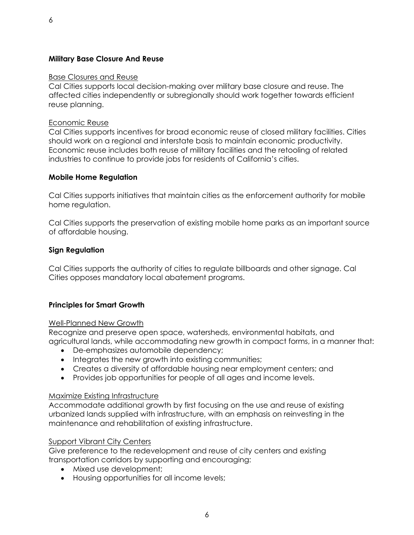#### **Military Base Closure And Reuse**

#### Base Closures and Reuse

Cal Cities supports local decision-making over military base closure and reuse. The affected cities independently or subregionally should work together towards efficient reuse planning.

#### Economic Reuse

Cal Cities supports incentives for broad economic reuse of closed military facilities. Cities should work on a regional and interstate basis to maintain economic productivity. Economic reuse includes both reuse of military facilities and the retooling of related industries to continue to provide jobs for residents of California's cities.

#### **Mobile Home Regulation**

Cal Cities supports initiatives that maintain cities as the enforcement authority for mobile home regulation.

Cal Cities supports the preservation of existing mobile home parks as an important source of affordable housing.

#### **Sign Regulation**

Cal Cities supports the authority of cities to regulate billboards and other signage. Cal Cities opposes mandatory local abatement programs.

#### **Principles for Smart Growth**

#### Well-Planned New Growth

Recognize and preserve open space, watersheds, environmental habitats, and agricultural lands, while accommodating new growth in compact forms, in a manner that:

- De-emphasizes automobile dependency;
- Integrates the new growth into existing communities;
- Creates a diversity of affordable housing near employment centers; and
- Provides job opportunities for people of all ages and income levels.

#### Maximize Existing Infrastructure

Accommodate additional growth by first focusing on the use and reuse of existing urbanized lands supplied with infrastructure, with an emphasis on reinvesting in the maintenance and rehabilitation of existing infrastructure.

#### Support Vibrant City Centers

Give preference to the redevelopment and reuse of city centers and existing transportation corridors by supporting and encouraging:

- Mixed use development;
- Housing opportunities for all income levels;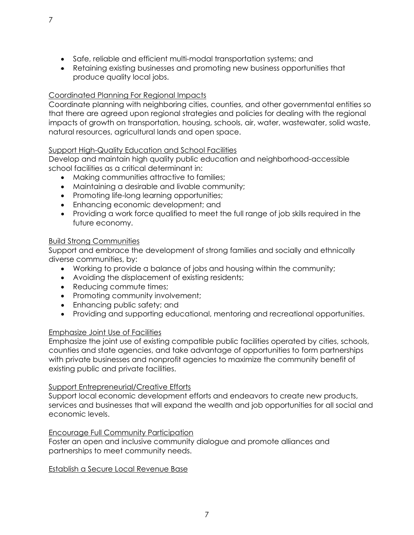- Safe, reliable and efficient multi-modal transportation systems; and
- Retaining existing businesses and promoting new business opportunities that produce quality local jobs.

# Coordinated Planning For Regional Impacts

Coordinate planning with neighboring cities, counties, and other governmental entities so that there are agreed upon regional strategies and policies for dealing with the regional impacts of growth on transportation, housing, schools, air, water, wastewater, solid waste, natural resources, agricultural lands and open space.

## Support High-Quality Education and School Facilities

Develop and maintain high quality public education and neighborhood-accessible school facilities as a critical determinant in:

- Making communities attractive to families;
- Maintaining a desirable and livable community;
- Promoting life-long learning opportunities;
- Enhancing economic development; and
- Providing a work force qualified to meet the full range of job skills required in the future economy.

## Build Strong Communities

Support and embrace the development of strong families and socially and ethnically diverse communities, by:

- Working to provide a balance of jobs and housing within the community;
- Avoiding the displacement of existing residents;
- Reducing commute times;
- Promoting community involvement;
- Enhancing public safety; and
- Providing and supporting educational, mentoring and recreational opportunities.

#### Emphasize Joint Use of Facilities

Emphasize the joint use of existing compatible public facilities operated by cities, schools, counties and state agencies, and take advantage of opportunities to form partnerships with private businesses and nonprofit agencies to maximize the community benefit of existing public and private facilities.

#### Support Entrepreneurial/Creative Efforts

Support local economic development efforts and endeavors to create new products, services and businesses that will expand the wealth and job opportunities for all social and economic levels.

#### Encourage Full Community Participation

Foster an open and inclusive community dialogue and promote alliances and partnerships to meet community needs.

#### Establish a Secure Local Revenue Base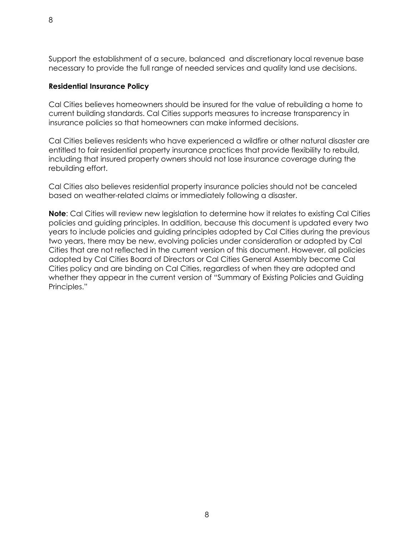Support the establishment of a secure, balanced and discretionary local revenue base necessary to provide the full range of needed services and quality land use decisions.

## **Residential Insurance Policy**

Cal Cities believes homeowners should be insured for the value of rebuilding a home to current building standards. Cal Cities supports measures to increase transparency in insurance policies so that homeowners can make informed decisions.

Cal Cities believes residents who have experienced a wildfire or other natural disaster are entitled to fair residential property insurance practices that provide flexibility to rebuild, including that insured property owners should not lose insurance coverage during the rebuilding effort.

Cal Cities also believes residential property insurance policies should not be canceled based on weather-related claims or immediately following a disaster.

**Note**: Cal Cities will review new legislation to determine how it relates to existing Cal Cities policies and guiding principles. In addition, because this document is updated every two years to include policies and guiding principles adopted by Cal Cities during the previous two years, there may be new, evolving policies under consideration or adopted by Cal Cities that are not reflected in the current version of this document. However, all policies adopted by Cal Cities Board of Directors or Cal Cities General Assembly become Cal Cities policy and are binding on Cal Cities, regardless of when they are adopted and whether they appear in the current version of "Summary of Existing Policies and Guiding Principles."